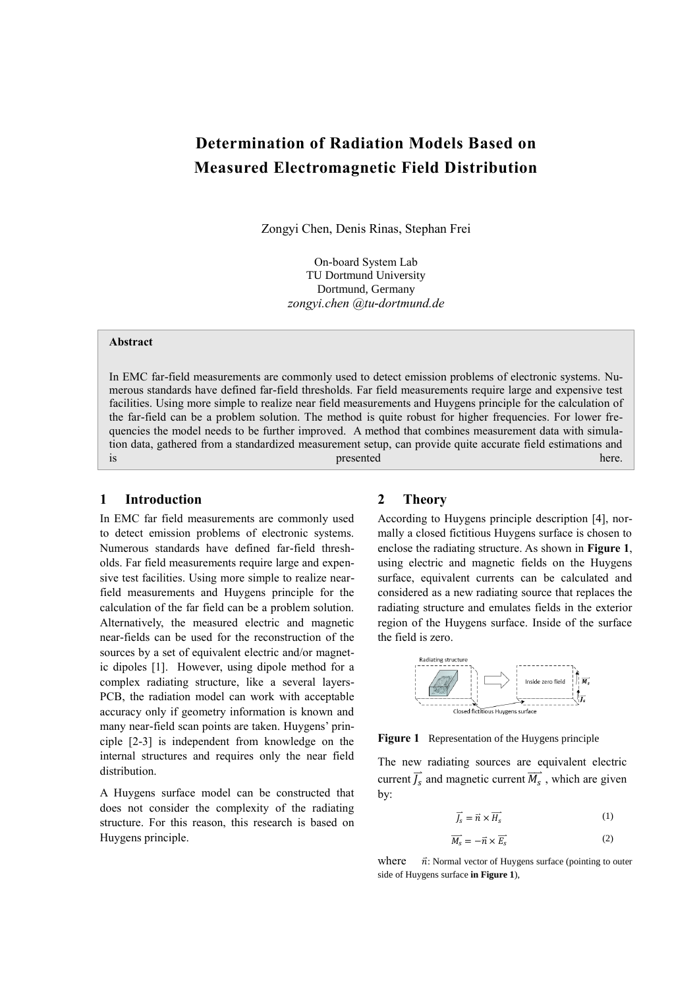# **Determination of Radiation Models Based on Measured Electromagnetic Field Distribution**

Zongyi Chen, Denis Rinas, Stephan Frei

On-board System Lab TU Dortmund University Dortmund, Germany *zongyi.chen @tu-dortmund.de*

#### **Abstract**

In EMC far-field measurements are commonly used to detect emission problems of electronic systems. Numerous standards have defined far-field thresholds. Far field measurements require large and expensive test facilities. Using more simple to realize near field measurements and Huygens principle for the calculation of the far-field can be a problem solution. The method is quite robust for higher frequencies. For lower frequencies the model needs to be further improved. A method that combines measurement data with simulation data, gathered from a standardized measurement setup, can provide quite accurate field estimations and is presented here. The presented here. The presented here. The presented here.

## **1 Introduction**

In EMC far field measurements are commonly used to detect emission problems of electronic systems. Numerous standards have defined far-field thresholds. Far field measurements require large and expensive test facilities. Using more simple to realize nearfield measurements and Huygens principle for the calculation of the far field can be a problem solution. Alternatively, the measured electric and magnetic near-fields can be used for the reconstruction of the sources by a set of equivalent electric and/or magnetic dipoles [1]. However, using dipole method for a complex radiating structure, like a several layers-PCB, the radiation model can work with acceptable accuracy only if geometry information is known and many near-field scan points are taken. Huygens' principle [2-3] is independent from knowledge on the internal structures and requires only the near field distribution.

A Huygens surface model can be constructed that does not consider the complexity of the radiating structure. For this reason, this research is based on Huygens principle.

#### **2 Theory**

According to Huygens principle description [4], normally a closed fictitious Huygens surface is chosen to enclose the radiating structure. As shown in **[Figure 1](#page-0-0)**, using electric and magnetic fields on the Huygens surface, equivalent currents can be calculated and considered as a new radiating source that replaces the radiating structure and emulates fields in the exterior region of the Huygens surface. Inside of the surface the field is zero.



<span id="page-0-0"></span>**Figure 1** Representation of the Huygens principle

The new radiating sources are equivalent electric current  $\overrightarrow{J_s}$  and magnetic current  $\overrightarrow{M_s}$ , which are given by:

$$
\overrightarrow{J_s} = \overrightarrow{n} \times \overrightarrow{H_s}
$$
 (1)

$$
\overrightarrow{M_s} = -\overrightarrow{n} \times \overrightarrow{E_s}
$$
 (2)

where  $\vec{n}$ : Normal vector of Huygens surface (pointing to outer side of Huygens surface **in Figure 1**),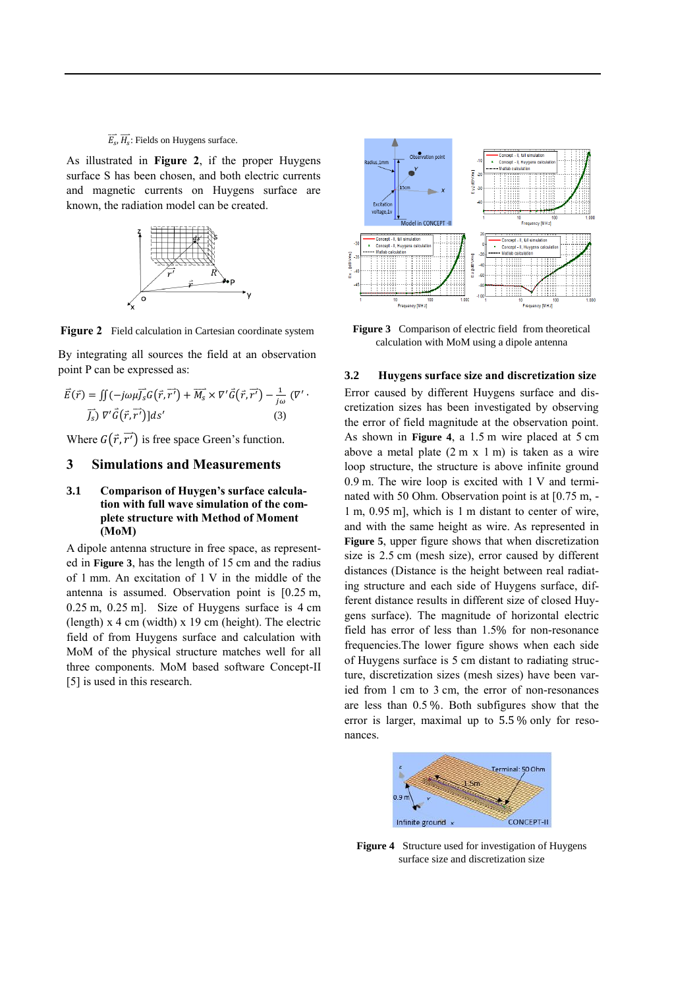#### $\overrightarrow{E_s}$ ,  $\overrightarrow{H_s}$ : Fields on Huygens surface.

As illustrated in **[Figure 2](#page-1-0)**, if the proper Huygens surface S has been chosen, and both electric currents and magnetic currents on Huygens surface are known, the radiation model can be created.



<span id="page-1-0"></span>**Figure 2** Field calculation in Cartesian coordinate system

By integrating all sources the field at an observation point P can be expressed as:

 ⃑ ( ) ∬( ⃑⃑ ( ⃑ ) ⃑⃑⃑⃑⃑ ( ⃑ ) ( ⃑⃑ ) ( ⃑ ) (3)

Where  $G(\vec{r}, \vec{r'})$  is free space Green's function.

### **3 Simulations and Measurements**

#### **3.1 Comparison of Huygen's surface calculation with full wave simulation of the complete structure with Method of Moment (MoM)**

A dipole antenna structure in free space, as represented in **[Figure 3](#page-1-1)**, has the length of 15 cm and the radius of 1 mm. An excitation of 1 V in the middle of the antenna is assumed. Observation point is [0.25 m, 0.25 m, 0.25 m]. Size of Huygens surface is 4 cm (length) x 4 cm (width) x 19 cm (height). The electric field of from Huygens surface and calculation with MoM of the physical structure matches well for all three components. MoM based software Concept-II [5] is used in this research.



<span id="page-1-1"></span>Figure 3 Comparison of electric field from theoretical calculation with MoM using a dipole antenna

**3.2 Huygens surface size and discretization size** Error caused by different Huygens surface and discretization sizes has been investigated by observing the error of field magnitude at the observation point. As shown in **[Figure 4](#page-1-2)**, a 1.5 m wire placed at 5 cm above a metal plate  $(2 \text{ m x 1 m})$  is taken as a wire loop structure, the structure is above infinite ground 0.9 m. The wire loop is excited with 1 V and terminated with 50 Ohm. Observation point is at [0.75 m, - 1 m, 0.95 m], which is 1 m distant to center of wire, and with the same height as wire. As represented in **[Figure 5](#page-2-0)**, upper figure shows that when discretization size is 2.5 cm (mesh size), error caused by different distances (Distance is the height between real radiating structure and each side of Huygens surface, different distance results in different size of closed Huygens surface). The magnitude of horizontal electric field has error of less than 1.5% for non-resonance frequencies.The lower figure shows when each side of Huygens surface is 5 cm distant to radiating structure, discretization sizes (mesh sizes) have been varied from 1 cm to 3 cm, the error of non-resonances are less than 0.5 %. Both subfigures show that the error is larger, maximal up to 5.5 % only for resonances.



<span id="page-1-2"></span>**Figure 4** Structure used for investigation of Huygens surface size and discretization size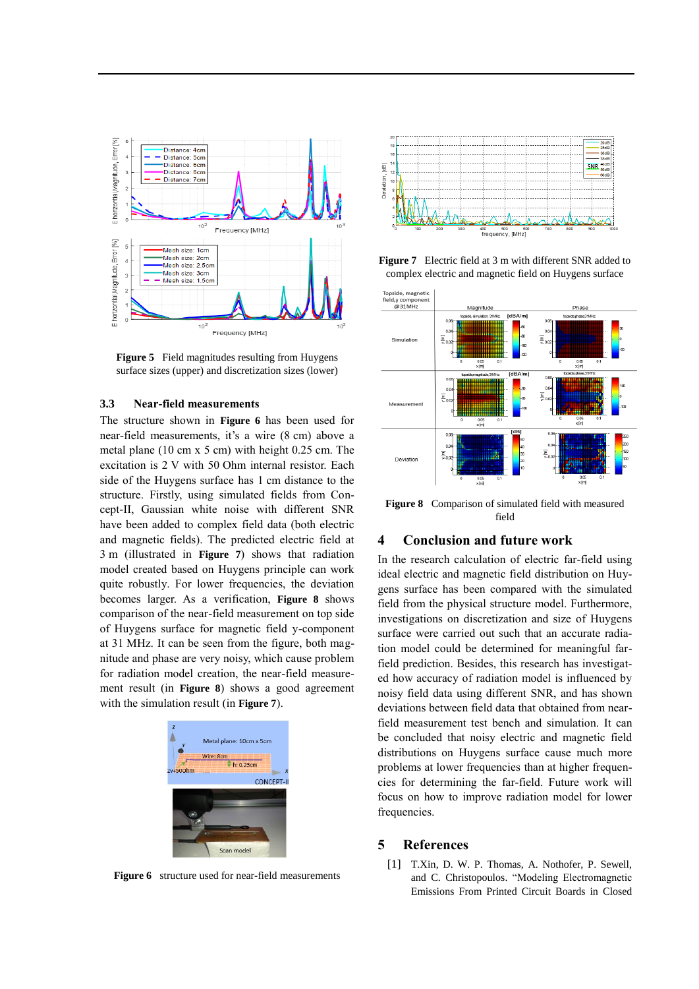

<span id="page-2-0"></span>**Figure 5** Field magnitudes resulting from Huygens surface sizes (upper) and discretization sizes (lower)

#### **3.3 Near-field measurements**

The structure shown in **[Figure 6](#page-2-1)** has been used for near-field measurements, it's a wire (8 cm) above a metal plane (10 cm x 5 cm) with height 0.25 cm. The excitation is 2 V with 50 Ohm internal resistor. Each side of the Huygens surface has 1 cm distance to the structure. Firstly, using simulated fields from Concept-II, Gaussian white noise with different SNR have been added to complex field data (both electric and magnetic fields). The predicted electric field at 3 m (illustrated in **[Figure 7](#page-2-2)**) shows that radiation model created based on Huygens principle can work quite robustly. For lower frequencies, the deviation becomes larger. As a verification, **[Figure 8](#page-2-3)** shows comparison of the near-field measurement on top side of Huygens surface for magnetic field y-component at 31 MHz. It can be seen from the figure, both magnitude and phase are very noisy, which cause problem for radiation model creation, the near-field measurement result (in **[Figure 8](#page-2-3)**) shows a good agreement with the simulation result (in **[Figure 7](#page-2-2)**).



<span id="page-2-1"></span>**Figure 6** structure used for near-field measurements



<span id="page-2-2"></span>**Figure 7** Electric field at 3 m with different SNR added to complex electric and magnetic field on Huygens surface



<span id="page-2-3"></span>**Figure 8** Comparison of simulated field with measured field

## **4 Conclusion and future work**

In the research calculation of electric far-field using ideal electric and magnetic field distribution on Huygens surface has been compared with the simulated field from the physical structure model. Furthermore, investigations on discretization and size of Huygens surface were carried out such that an accurate radiation model could be determined for meaningful farfield prediction. Besides, this research has investigated how accuracy of radiation model is influenced by noisy field data using different SNR, and has shown deviations between field data that obtained from nearfield measurement test bench and simulation. It can be concluded that noisy electric and magnetic field distributions on Huygens surface cause much more problems at lower frequencies than at higher frequencies for determining the far-field. Future work will focus on how to improve radiation model for lower frequencies.

# **5 References**

[1] T.Xin, D. W. P. Thomas, A. Nothofer, P. Sewell, and C. Christopoulos. "Modeling Electromagnetic Emissions From Printed Circuit Boards in Closed